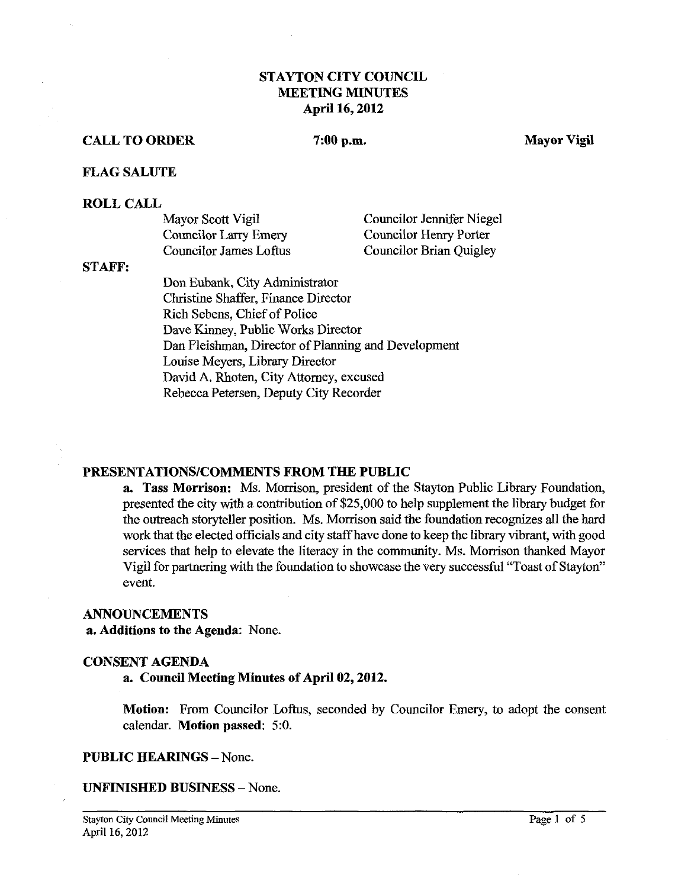## **STAYTON CITY COUNCIL MEETING MINUTES April 16,2012**

#### **CALL TO ORDER**

#### $7:00$  p.m.

**Mayor Vigil** 

#### **FLAG SALUTE**

#### **ROLL CALL**

| Mayor Scott Vigil      | Councilor Jennifer Niegel |
|------------------------|---------------------------|
| Councilor Larry Emery  | Councilor Henry Porter    |
| Councilor James Loftus | Councilor Brian Quigley   |

#### **STAFF:**

Don Eubank, City Administrator Christine Shaffer, Finance Director Rich Sebens, Chief of Police Dave Kinney, Public Works Director Dan Fleishman, Director of Planning and Development Louise Meyers, Library Director David A. Rhoten, City Attorney, excused Rebecca Petersen, Deputy City Recorder

#### **PRESENTATIONSICOMMENTS FROM THE PUBLIC**

**a. Tass Morrison:** Ms. Morrison, president of the Stayton Public Library Foundation, presented the city with a contribution of \$25,000 to help supplement the library budget for the outreach storyteller position. Ms. Morrison said the foundation recognizes all the hard work that the elected officials and city staff have done to keep the library vibrant, with good services that help to elevate the literacy in the community. Ms. Morrison thanked Mayor Vigil for partnering with the foundation to showcase the very successful "Toast of Stayton" event.

#### **ANNOUNCEMENTS**

**a. Additions to the Agenda:** None.

#### **CONSENT AGENDA**

### **a. Couneil Meeting Minutes of April 02,2012.**

**Motion:** From Councilor Loftus, seconded by Councilor Emery, to adopt the consent calendar. **Motion passed:** 5:O.

#### **PUBLIC HEARINGS - None.**

**UNFINISHED BUSINESS** -None.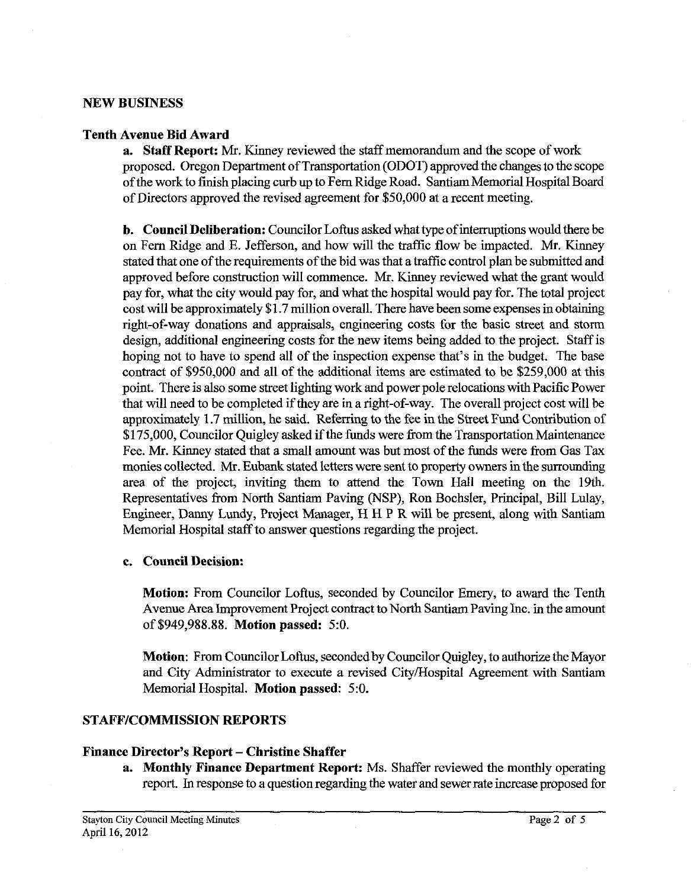### **NEW BUSINESS**

### **Tenth Avenue Bid Award**

**a. Staff Report:** Mr. Kinney reviewed the staff memorandum and the scope of work proposed. Oregon Department of Transportation (ODOT) approved the changes to the scope of the work to finish placing curb up to Fern Ridge Road. Santiam Memorial Hospital Board of Directors approved the revised agreement for \$50,000 at a recent meeting.

**b. Council Deliberation:** Councilor Loftus asked what type of interruptions would there be on Fern Ridge and E. Jefferson, and how will the traffic flow be impacted. Mr. Kinney stated that one of the requirements of the bid was that a traffic control plan be submitted and approved before construction will commence. Mr. Kinney reviewed what the grant would pay for, what the city would pay for, and what the hospital would pay for. The total project cost will be approximately \$1.7 million overall. There have been some expenses in obtaining right-of-way donations and appraisals, engineering costs for the basic street and storm design, additional engineering costs for the new items being added to the project. Staff is hoping not to have to spend all of the inspection expense that's in the budget. The base contract of \$950,000 and all of the additional items are estimated to be \$259,000 at this point. There is also some street lighting work and power pole relocations with Pacific Power that will need to be completed if they are in a right-of-way. The overall project cost will be approximately 1.7 million, he said. Referring to the fee in the Street Fund Contribution of \$175,000, Councilor Ouigley asked if the funds were from the Transportation Maintenance Fee. Mr. Kinney stated that a small amount was but most of the funds were from Gas Tax monies collected. Mr. Eubank stated letters were sent to property owners inthe surrounding area of the project, inviting them to attend the Town Hall meeting on the 19th. Representatives from North Santiam Paving (NSP), Ron Bochsler, Principal, Bill Lulay, Engineer, Danny Lundy, Project Manager, H H P R will be present, along with Santiam Memorial Hospital staff to answer questions regarding the project.

### **c. Council Decision:**

**Motion:** From Councilor Loftus, seconded by Councilor Emery, to award the Tenth Avenue Arealmprovement Project contract to North Santiam Paving Inc. in the amount of \$949,988.88. **Motion passed:** 5:O.

**Motion:** From Councilor Loftus, seconded by Councilor Quigley, to authorize the Mayor and City Administrator to execute a revised CityYHospital Agreement with Santiam Memorial Hospital. **Motion passed:** 5:O.

### **STAFFICOMMISSION REPORTS**

#### **Finance Director's Report – Christine Shaffer**

**a. Monthly Finance Department Report:** Ms. Shaffer reviewed the monthly operating report. In response to a question regarding the water and sewer rate increase proposed for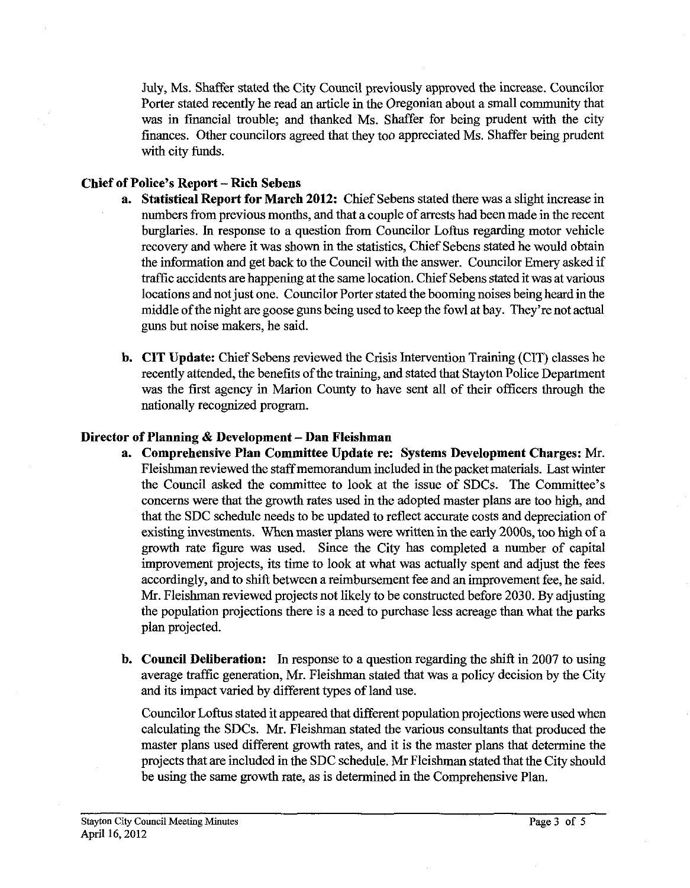July, Ms. Shaffer stated the City Council previously approved the increase. Councilor Porter stated recently he read an article in the Oregonian about a small community that was in fmancial trouble; and thanked Ms. Shaffer for being prudent with the city finances. Other councilors agreed that they too appreciated Ms. Shaffer being prudent with city funds.

## **Chief of Police's Report -Rich Sebens**

- **a. Statistical Report for March 2012:** Chief Sebens stated there was a slight increase in numbers from previous months, and that a couple of arrests had been made in the recent burglaries. In response to a question from Councilor Loftus regarding motor vehicle recovery and where it was shown in the statistics, Chief Sebens stated he would obtain the infonnation and get back to the Council with the answer. Councilor Emery asked if traffic accidents are happening at the same location. Chief Sebens stated it was at various locations and not just one. Councilor Porter stated the booming noises being heard in the middle of the night are goose guns being used to keep the fowl at bay. They're not actual guns but noise makers, he said.
- **b. CIT Update:** Chief Sebens reviewed the Crisis Intervention Training (CIT) classes he recently attended, the benefits of the training, and stated that Stayton Police Department was the first agency in Marion County to have sent all of their officers through the nationally recognized program.

## **Director of Planning & Development – Dan Fleishman**

- **a. Comprehensive Plan Committee Update re: Systems Development Charges: Mr.**  Fleishman reviewed the staffmemorandum included in the packet materials. Last winter the Council asked the committee to look at the issue of SDCs. The Committee's concerns were that the growth rates used in the adopted master plans are too high, and that the SDC schedule needs to be updated to reflect accurate costs and depreciation of existing investments. when master plans were written in the early 2000s, too high of a growth rate figure was used. Since the City has completed a number of capital improvement projects, its time to look at what was actually spent and adjust the fees accordingly, and to shift between a reimbursement fee and an improvement fee, he said. Mr. Fleishman reviewed projects not likely to be constructed before 2030. By adjusting the population projections there is a need to purchase less acreage than what the parks plan projected.
- **b. Council Deliberation: In** response to a question regarding the shift in 2007 to using average traffic generation, Mr. Fleishman stated that was a policy decision by the City and its impact varied by different types of land use.

Councilor Loftus stated it appeared that different population projections were used when calculating the SDCs. Mr. Fleishman stated the various consultants that produced the master plans used different growth rates, and it is the master plans that determine the projects that are included in the SDC schedule. Mr Fleishman stated that the City should be using the same growth rate, as is determined in the Comprehensive Plan.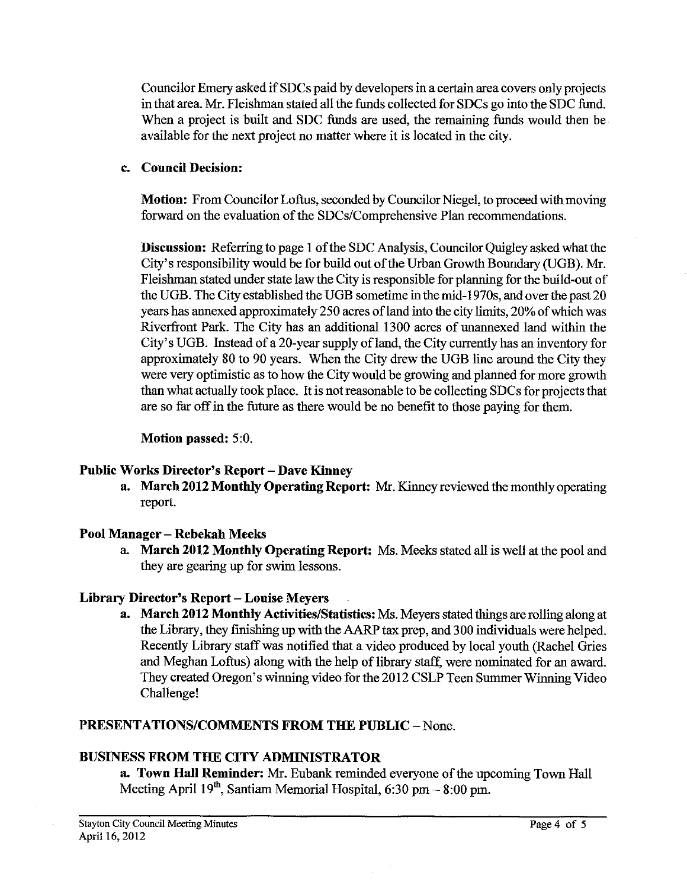Councilor Emery asked if SDCs paid by developers in a certain area covers only projects in that area. Mr. Fleishman stated all the funds collected for SDCs go into the SDC fund. When a project is built and SDC funds are used, the remaining funds would then be available for the next project no matter where it is located in the city.

## **c. Council Decision:**

**Motion:** From Councilor Loftus, seconded by Councilor Niegel, to proceed with moving forward on the evaluation of the SDCs/Comprehensive Plan recommendations.

**Discussion:** Referring to page 1 of the SDC Analysis, Councilor Quigley asked what the City's responsibility would be for build out of the Urban Growth Boundary (UGB). Mr. Fleishrnan stated under state law the City is responsible for planning for the build-out of the UGB. The City established the UGB sometime in the mid-1970s, and over the past 20 years has annexed approximately 250 acres of land into the city limits, 20% of which was Riverfront Park. The City has an additional 1300 acres of unannexed land within the City's UGB. Instead of a 20-year supply of land, the City currently has an inventory for approximately 80 to 90 years. When the City drew the UGB line around the City they were very optimistic as to how the City would be growing and planned for more growth than what actually took place. It is not reasonable to be collecting SDCs for projects that are so far off in the future as there would be no benefit to those paying for them.

## **Motion passed:** 5:O.

# Public Works Director's Report – Dave Kinney

**a. March 2012 Monthly Operating Report: Mr.** Kinney reviewed the monthly operating report.

# **Pool Manager** - **Rebekah Meeks**

a. **March 2012 Monthly Operating Report:** Ms. Meeks stated all is well at the pool and they are gearing up for swim lessons.

# **Library Director's Report** - **Louise Meyers**

**a. March 2012 Monthly Activities/Statistics:** Ms. Meyers stated things are rolling along at the Library, they finishing up with the **AARP** tax prep, and 300 individuals were helped. Recently Library staff was notified that a video produced by local youth (Rachel Gries and Meghan Loftus) along with the help of library staff, were nominated for an award. They created Oregon's winning video for the 2012 CSLP Teen Summer Winning Video Challenge!

# **PRESENTATIONS/COMMENTS FROM THE PUBLIC - None.**

# **BUSINESS FROM THE CITY ADMINISTRATOR**

**a. Town Hall Reminder:** Mr. Eubank reminded everyone of the upcoming Town Hall Meeting April  $19<sup>th</sup>$ , Santiam Memorial Hospital, 6:30 pm  $-8:00$  pm.